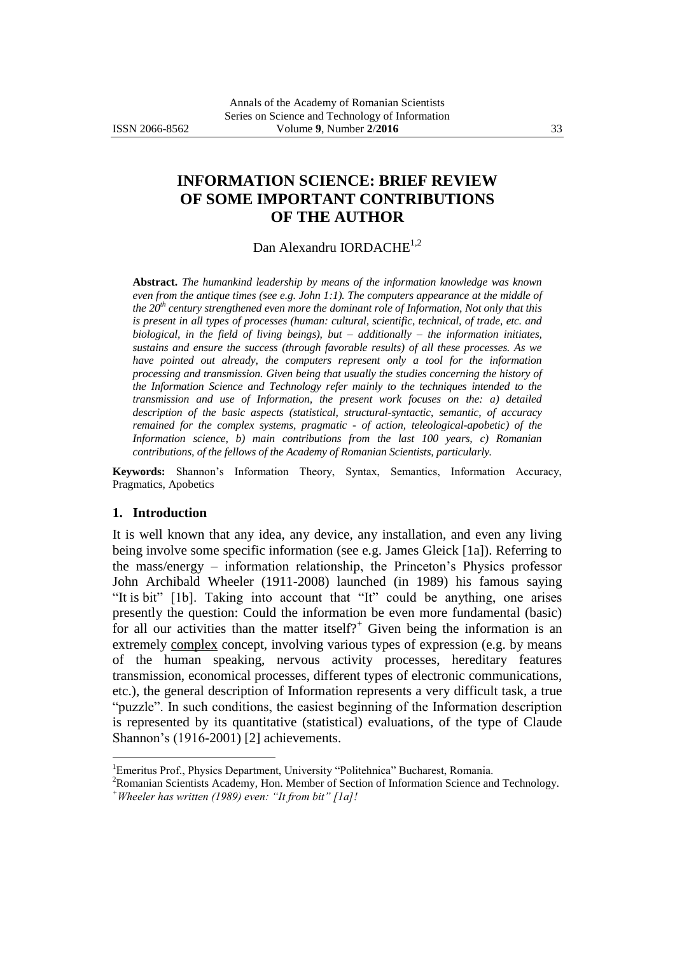# **INFORMATION SCIENCE: BRIEF REVIEW OF SOME IMPORTANT CONTRIBUTIONS OF THE AUTHOR**

## Dan Alexandru IORDACHE<sup>1,2</sup>

**Abstract.** *The humankind leadership by means of the information knowledge was known even from the antique times (see e.g. John 1:1). The computers appearance at the middle of the 20th century strengthened even more the dominant role of Information, Not only that this is present in all types of processes (human: cultural, scientific, technical, of trade, etc. and biological, in the field of living beings), but – additionally – the information initiates, sustains and ensure the success (through favorable results) of all these processes. As we have pointed out already, the computers represent only a tool for the information processing and transmission. Given being that usually the studies concerning the history of the Information Science and Technology refer mainly to the techniques intended to the transmission and use of Information, the present work focuses on the: a) detailed description of the basic aspects (statistical, structural-syntactic, semantic, of accuracy remained for the complex systems, pragmatic - of action, teleological-apobetic) of the Information science, b) main contributions from the last 100 years, c) Romanian contributions, of the fellows of the Academy of Romanian Scientists, particularly.*

**Keywords:** Shannon"s Information Theory, Syntax, Semantics, Information Accuracy, Pragmatics, Apobetics

#### **1. Introduction**

 $\overline{a}$ 

It is well known that any idea, any device, any installation, and even any living being involve some specific information (see e.g. James Gleick [1a]). Referring to the mass/energy – information relationship, the Princeton"s Physics professor John Archibald Wheeler (1911-2008) launched (in 1989) his famous saying "It is bit" [1b]. Taking into account that "It" could be anything, one arises presently the question: Could the information be even more fundamental (basic) for all our activities than the matter itself?<sup>+</sup> Given being the information is an extremely complex concept, involving various types of expression (e.g. by means of the human speaking, nervous activity processes, hereditary features transmission, economical processes, different types of electronic communications, etc.), the general description of Information represents a very difficult task, a true "puzzle". In such conditions, the easiest beginning of the Information description is represented by its quantitative (statistical) evaluations, of the type of Claude Shannon"s (1916-2001) [2] achievements.

<sup>&</sup>lt;sup>1</sup>Emeritus Prof., Physics Department, University "Politehnica" Bucharest, Romania.

<sup>2</sup>Romanian Scientists Academy, Hon. Member of Section of Information Science and Technology. *<sup>+</sup>Wheeler has written (1989) even: "It from bit" [1a]!*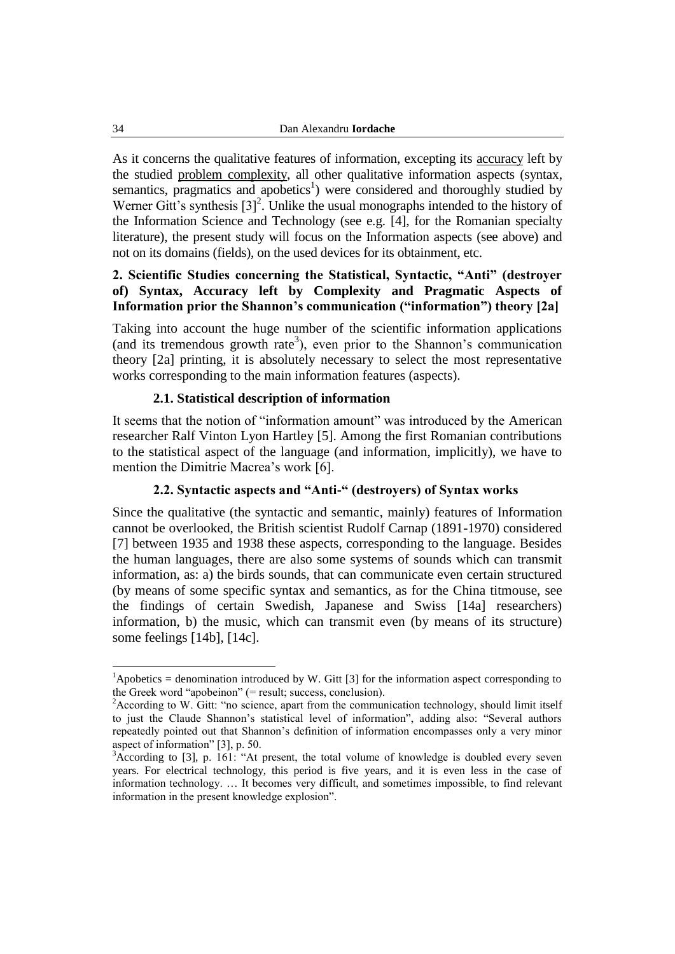As it concerns the qualitative features of information, excepting its accuracy left by the studied problem complexity, all other qualitative information aspects (syntax, semantics, pragmatics and apobetics<sup>1</sup>) were considered and thoroughly studied by Werner Gitt's synthesis  $[3]^2$ . Unlike the usual monographs intended to the history of the Information Science and Technology (see e.g. [4], for the Romanian specialty literature), the present study will focus on the Information aspects (see above) and not on its domains (fields), on the used devices for its obtainment, etc.

## **2. Scientific Studies concerning the Statistical, Syntactic, "Anti" (destroyer of) Syntax, Accuracy left by Complexity and Pragmatic Aspects of Information prior the Shannon's communication ("information") theory [2a]**

Taking into account the huge number of the scientific information applications (and its tremendous growth rate<sup>3</sup>), even prior to the Shannon's communication theory [2a] printing, it is absolutely necessary to select the most representative works corresponding to the main information features (aspects).

#### **2.1. Statistical description of information**

It seems that the notion of "information amount" was introduced by the American researcher Ralf Vinton Lyon Hartley [5]. Among the first Romanian contributions to the statistical aspect of the language (and information, implicitly), we have to mention the Dimitrie Macrea's work [6].

## **2.2. Syntactic aspects and "Anti-" (destroyers) of Syntax works**

Since the qualitative (the syntactic and semantic, mainly) features of Information cannot be overlooked, the British scientist Rudolf Carnap (1891-1970) considered [7] between 1935 and 1938 these aspects, corresponding to the language. Besides the human languages, there are also some systems of sounds which can transmit information, as: a) the birds sounds, that can communicate even certain structured (by means of some specific syntax and semantics, as for the China titmouse, see the findings of certain Swedish, Japanese and Swiss [14a] researchers) information, b) the music, which can transmit even (by means of its structure) some feelings [14b], [14c].

 $\overline{a}$ 

<sup>&</sup>lt;sup>1</sup>Apobetics = denomination introduced by W. Gitt [3] for the information aspect corresponding to the Greek word "apobeinon" (= result; success, conclusion).

<sup>&</sup>lt;sup>2</sup>According to W. Gitt: "no science, apart from the communication technology, should limit itself to just the Claude Shannon"s statistical level of information", adding also: "Several authors repeatedly pointed out that Shannon"s definition of information encompasses only a very minor aspect of information" [3], p. 50.

<sup>&</sup>lt;sup>3</sup>According to [3], p. 161: "At present, the total volume of knowledge is doubled every seven years. For electrical technology, this period is five years, and it is even less in the case of information technology. … It becomes very difficult, and sometimes impossible, to find relevant information in the present knowledge explosion".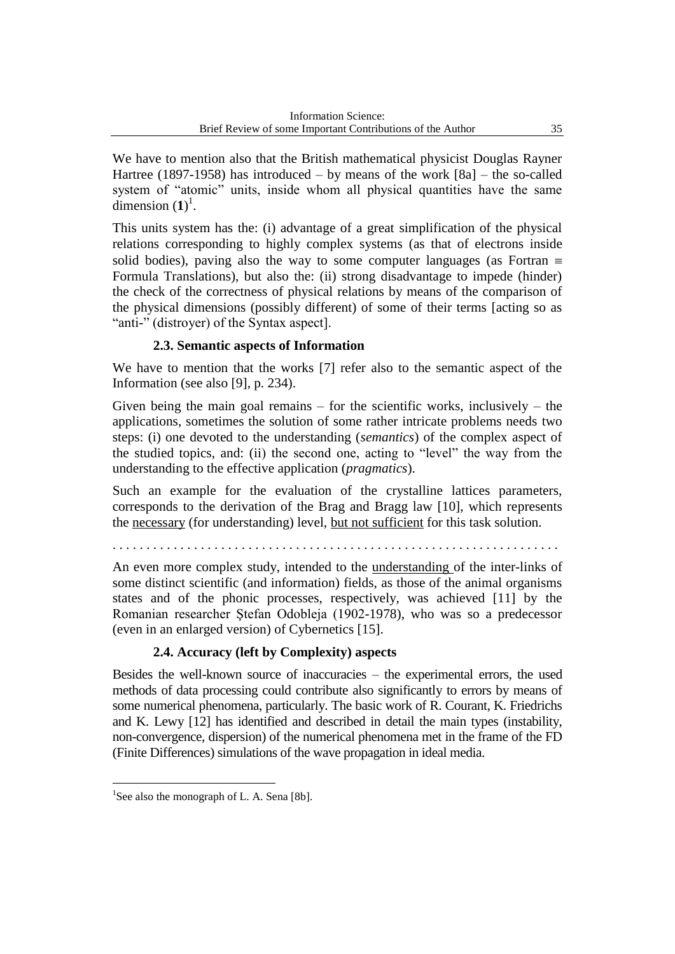We have to mention also that the British mathematical physicist Douglas Rayner Hartree (1897-1958) has introduced – by means of the work  $[8a]$  – the so-called system of "atomic" units, inside whom all physical quantities have the same dimension  $(1)^1$ .

This units system has the: (i) advantage of a great simplification of the physical relations corresponding to highly complex systems (as that of electrons inside solid bodies), paving also the way to some computer languages (as Fortran  $\equiv$ Formula Translations), but also the: (ii) strong disadvantage to impede (hinder) the check of the correctness of physical relations by means of the comparison of the physical dimensions (possibly different) of some of their terms [acting so as "anti-" (distroyer) of the Syntax aspect].

## **2.3. Semantic aspects of Information**

We have to mention that the works [7] refer also to the semantic aspect of the Information (see also [9], p. 234).

Given being the main goal remains  $-$  for the scientific works, inclusively  $-$  the applications, sometimes the solution of some rather intricate problems needs two steps: (i) one devoted to the understanding (*semantics*) of the complex aspect of the studied topics, and: (ii) the second one, acting to "level" the way from the understanding to the effective application (*pragmatics*).

Such an example for the evaluation of the crystalline lattices parameters, corresponds to the derivation of the Brag and Bragg law [10], which represents the necessary (for understanding) level, but not sufficient for this task solution.

. . . . . . . . . . . . . . . . . . . . . . . . . . . . . . . . . . . . . . . . . . . . . . . . . . . . . . . . . . . . . . . . . .

An even more complex study, intended to the understanding of the inter-links of some distinct scientific (and information) fields, as those of the animal organisms states and of the phonic processes, respectively, was achieved [11] by the Romanian researcher Ştefan Odobleja (1902-1978), who was so a predecessor (even in an enlarged version) of Cybernetics [15].

## **2.4. Accuracy (left by Complexity) aspects**

Besides the well-known source of inaccuracies – the experimental errors, the used methods of data processing could contribute also significantly to errors by means of some numerical phenomena, particularly. The basic work of R. Courant, K. Friedrichs and K. Lewy [12] has identified and described in detail the main types (instability, non-convergence, dispersion) of the numerical phenomena met in the frame of the FD (Finite Differences) simulations of the wave propagation in ideal media.

 $\overline{a}$ 

<sup>&</sup>lt;sup>1</sup>See also the monograph of L. A. Sena [8b].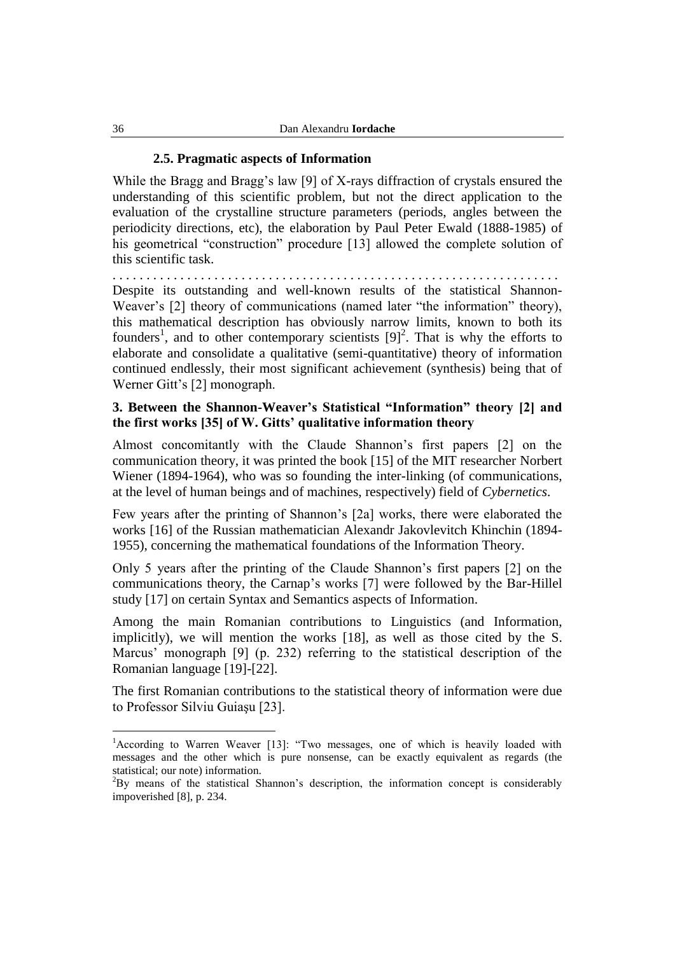#### **2.5. Pragmatic aspects of Information**

While the Bragg and Bragg's law [9] of X-rays diffraction of crystals ensured the understanding of this scientific problem, but not the direct application to the evaluation of the crystalline structure parameters (periods, angles between the periodicity directions, etc), the elaboration by Paul Peter Ewald (1888-1985) of his geometrical "construction" procedure [13] allowed the complete solution of this scientific task.

. . . . . . . . . . . . . . . . . . . . . . . . . . . . . . . . . . . . . . . . . . . . . . . . . . . . . . . . . . . . . . . . . . Despite its outstanding and well-known results of the statistical Shannon-Weaver's [2] theory of communications (named later "the information" theory), this mathematical description has obviously narrow limits, known to both its founders<sup>1</sup>, and to other contemporary scientists  $[9]^2$ . That is why the efforts to elaborate and consolidate a qualitative (semi-quantitative) theory of information continued endlessly, their most significant achievement (synthesis) being that of Werner Gitt's [2] monograph.

## **3. Between the Shannon-Weaver's Statistical "Information" theory [2] and the first works [35] of W. Gitts' qualitative information theory**

Almost concomitantly with the Claude Shannon"s first papers [2] on the communication theory, it was printed the book [15] of the MIT researcher Norbert Wiener (1894-1964), who was so founding the inter-linking (of communications, at the level of human beings and of machines, respectively) field of *Cybernetics*.

Few years after the printing of Shannon"s [2a] works, there were elaborated the works [16] of the Russian mathematician Alexandr Jakovlevitch Khinchin (1894- 1955), concerning the mathematical foundations of the Information Theory.

Only 5 years after the printing of the Claude Shannon"s first papers [2] on the communications theory, the Carnap"s works [7] were followed by the Bar-Hillel study [17] on certain Syntax and Semantics aspects of Information.

Among the main Romanian contributions to Linguistics (and Information, implicitly), we will mention the works [18], as well as those cited by the S. Marcus' monograph [9] (p. 232) referring to the statistical description of the Romanian language [19]-[22].

The first Romanian contributions to the statistical theory of information were due to Professor Silviu Guiaşu [23].

 $\overline{a}$ 

<sup>&</sup>lt;sup>1</sup> According to Warren Weaver [13]: "Two messages, one of which is heavily loaded with messages and the other which is pure nonsense, can be exactly equivalent as regards (the statistical; our note) information.

 ${}^{2}$ By means of the statistical Shannon's description, the information concept is considerably impoverished [8], p. 234.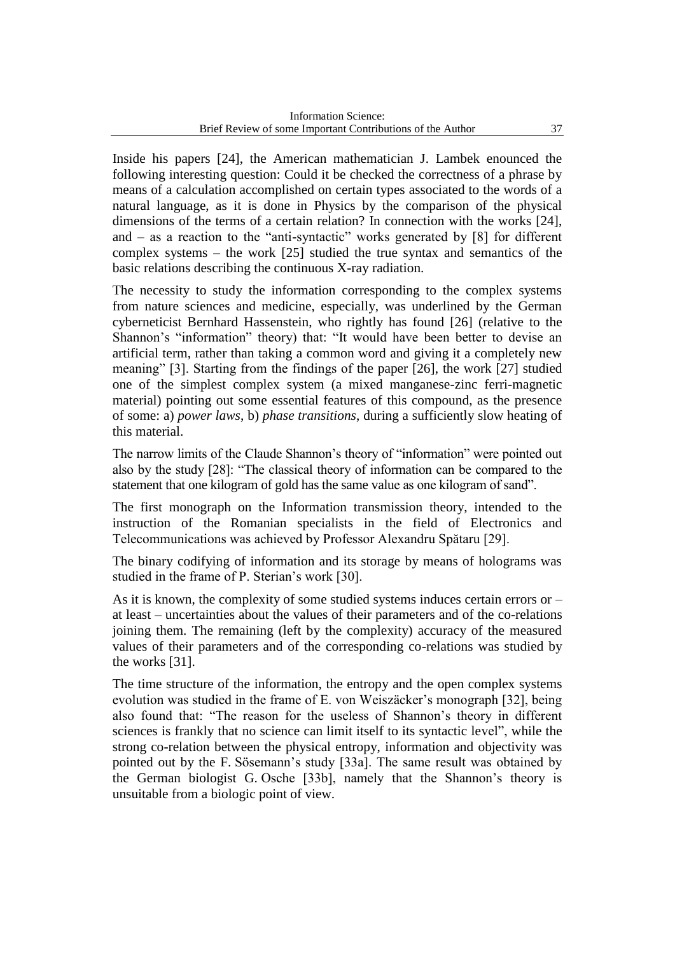Inside his papers [24], the American mathematician J. Lambek enounced the following interesting question: Could it be checked the correctness of a phrase by means of a calculation accomplished on certain types associated to the words of a natural language, as it is done in Physics by the comparison of the physical dimensions of the terms of a certain relation? In connection with the works [24], and  $-$  as a reaction to the "anti-syntactic" works generated by  $[8]$  for different complex systems – the work [25] studied the true syntax and semantics of the basic relations describing the continuous X-ray radiation.

The necessity to study the information corresponding to the complex systems from nature sciences and medicine, especially, was underlined by the German cyberneticist Bernhard Hassenstein, who rightly has found [26] (relative to the Shannon's "information" theory) that: "It would have been better to devise an artificial term, rather than taking a common word and giving it a completely new meaning" [3]. Starting from the findings of the paper [26], the work [27] studied one of the simplest complex system (a mixed manganese-zinc ferri-magnetic material) pointing out some essential features of this compound, as the presence of some: a) *power laws*, b) *phase transitions*, during a sufficiently slow heating of this material.

The narrow limits of the Claude Shannon"s theory of "information" were pointed out also by the study [28]: "The classical theory of information can be compared to the statement that one kilogram of gold has the same value as one kilogram of sand".

The first monograph on the Information transmission theory, intended to the instruction of the Romanian specialists in the field of Electronics and Telecommunications was achieved by Professor Alexandru Spătaru [29].

The binary codifying of information and its storage by means of holograms was studied in the frame of P. Sterian's work [30].

As it is known, the complexity of some studied systems induces certain errors or – at least – uncertainties about the values of their parameters and of the co-relations joining them. The remaining (left by the complexity) accuracy of the measured values of their parameters and of the corresponding co-relations was studied by the works [31].

The time structure of the information, the entropy and the open complex systems evolution was studied in the frame of E. von Weiszäcker"s monograph [32], being also found that: "The reason for the useless of Shannon"s theory in different sciences is frankly that no science can limit itself to its syntactic level", while the strong co-relation between the physical entropy, information and objectivity was pointed out by the F. Sösemann"s study [33a]. The same result was obtained by the German biologist G. Osche [33b], namely that the Shannon"s theory is unsuitable from a biologic point of view.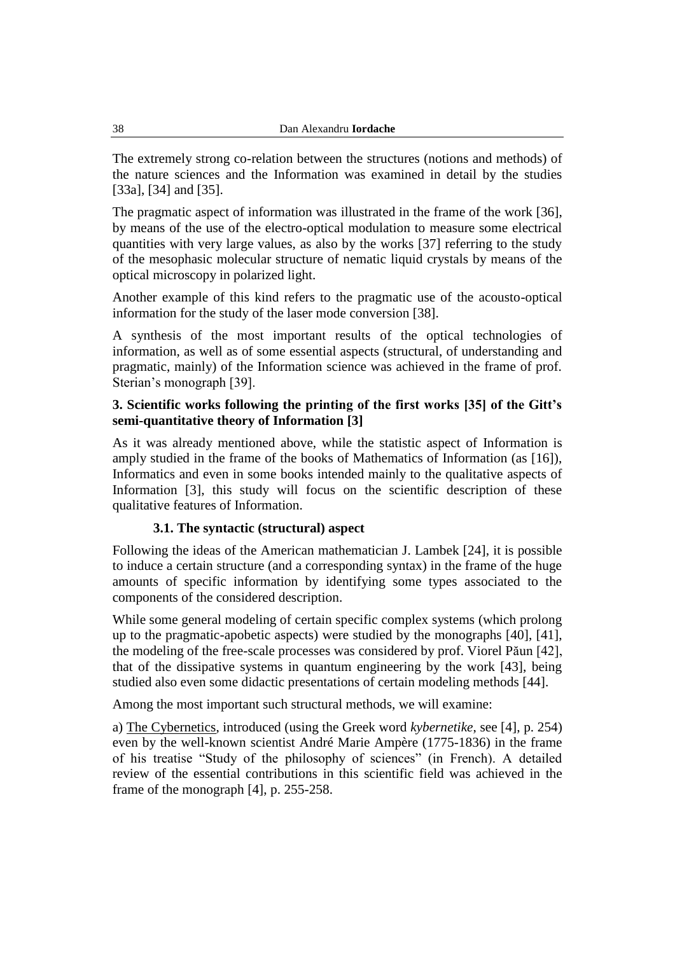The extremely strong co-relation between the structures (notions and methods) of the nature sciences and the Information was examined in detail by the studies [33a], [34] and [35].

The pragmatic aspect of information was illustrated in the frame of the work [36], by means of the use of the electro-optical modulation to measure some electrical quantities with very large values, as also by the works [37] referring to the study of the mesophasic molecular structure of nematic liquid crystals by means of the optical microscopy in polarized light.

Another example of this kind refers to the pragmatic use of the acousto-optical information for the study of the laser mode conversion [38].

A synthesis of the most important results of the optical technologies of information, as well as of some essential aspects (structural, of understanding and pragmatic, mainly) of the Information science was achieved in the frame of prof. Sterian's monograph [39].

## **3. Scientific works following the printing of the first works [35] of the Gitt's semi-quantitative theory of Information [3]**

As it was already mentioned above, while the statistic aspect of Information is amply studied in the frame of the books of Mathematics of Information (as [16]), Informatics and even in some books intended mainly to the qualitative aspects of Information [3], this study will focus on the scientific description of these qualitative features of Information.

## **3.1. The syntactic (structural) aspect**

Following the ideas of the American mathematician J. Lambek [24], it is possible to induce a certain structure (and a corresponding syntax) in the frame of the huge amounts of specific information by identifying some types associated to the components of the considered description.

While some general modeling of certain specific complex systems (which prolong up to the pragmatic-apobetic aspects) were studied by the monographs [40], [41], the modeling of the free-scale processes was considered by prof. Viorel Păun [42], that of the dissipative systems in quantum engineering by the work [43], being studied also even some didactic presentations of certain modeling methods [44].

Among the most important such structural methods, we will examine:

a) The Cybernetics, introduced (using the Greek word *kybernetike*, see [4], p. 254) even by the well-known scientist André Marie Ampère (1775-1836) in the frame of his treatise "Study of the philosophy of sciences" (in French). A detailed review of the essential contributions in this scientific field was achieved in the frame of the monograph [4], p. 255-258.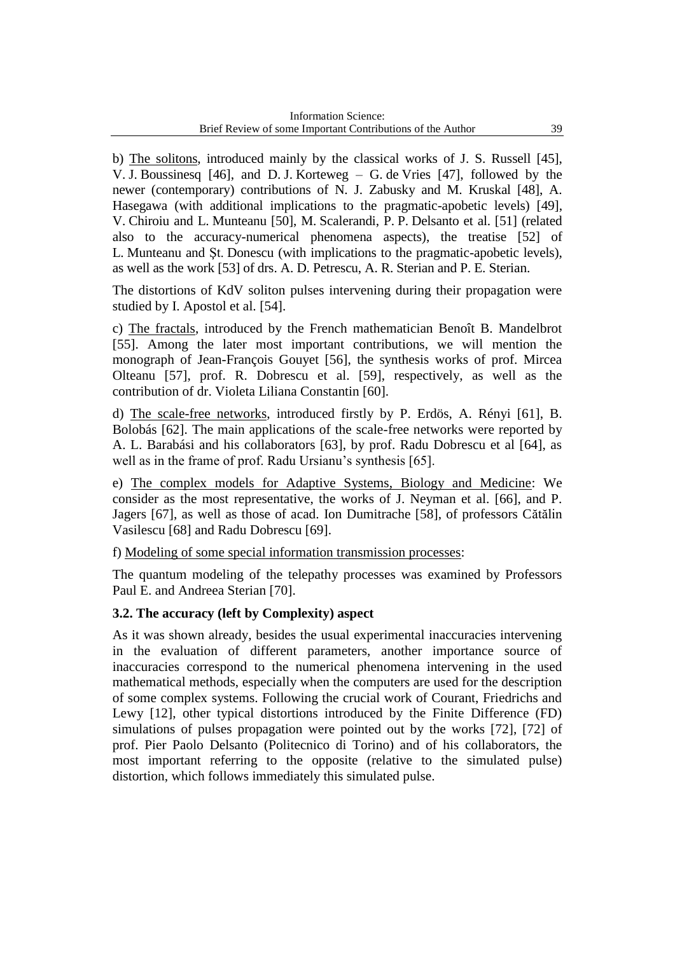b) The solitons, introduced mainly by the classical works of J. S. Russell [45], V. J. Boussinesq [46], and D. J. Korteweg – G. de Vries [47], followed by the newer (contemporary) contributions of N. J. Zabusky and M. Kruskal [48], A. Hasegawa (with additional implications to the pragmatic-apobetic levels) [49], V. Chiroiu and L. Munteanu [50], M. Scalerandi, P. P. Delsanto et al. [51] (related also to the accuracy-numerical phenomena aspects), the treatise [52] of L. Munteanu and Şt. Donescu (with implications to the pragmatic-apobetic levels), as well as the work [53] of drs. A. D. Petrescu, A. R. Sterian and P. E. Sterian.

The distortions of KdV soliton pulses intervening during their propagation were studied by I. Apostol et al. [54].

c) The fractals, introduced by the French mathematician Benoît B. Mandelbrot [55]. Among the later most important contributions, we will mention the monograph of Jean-François Gouyet [56], the synthesis works of prof. Mircea Olteanu [57], prof. R. Dobrescu et al. [59], respectively, as well as the contribution of dr. Violeta Liliana Constantin [60].

d) The scale-free networks, introduced firstly by P. Erdös, A. Rényi [61], B. Bolobás [62]. The main applications of the scale-free networks were reported by A. L. Barabási and his collaborators [63], by prof. Radu Dobrescu et al [64], as well as in the frame of prof. Radu Ursianu's synthesis [65].

e) The complex models for Adaptive Systems, Biology and Medicine: We consider as the most representative, the works of J. Neyman et al. [66], and P. Jagers [67], as well as those of acad. Ion Dumitrache [58], of professors Cătălin Vasilescu [68] and Radu Dobrescu [69].

f) Modeling of some special information transmission processes:

The quantum modeling of the telepathy processes was examined by Professors Paul E. and Andreea Sterian [70].

## **3.2. The accuracy (left by Complexity) aspect**

As it was shown already, besides the usual experimental inaccuracies intervening in the evaluation of different parameters, another importance source of inaccuracies correspond to the numerical phenomena intervening in the used mathematical methods, especially when the computers are used for the description of some complex systems. Following the crucial work of Courant, Friedrichs and Lewy [12], other typical distortions introduced by the Finite Difference (FD) simulations of pulses propagation were pointed out by the works [72], [72] of prof. Pier Paolo Delsanto (Politecnico di Torino) and of his collaborators, the most important referring to the opposite (relative to the simulated pulse) distortion, which follows immediately this simulated pulse.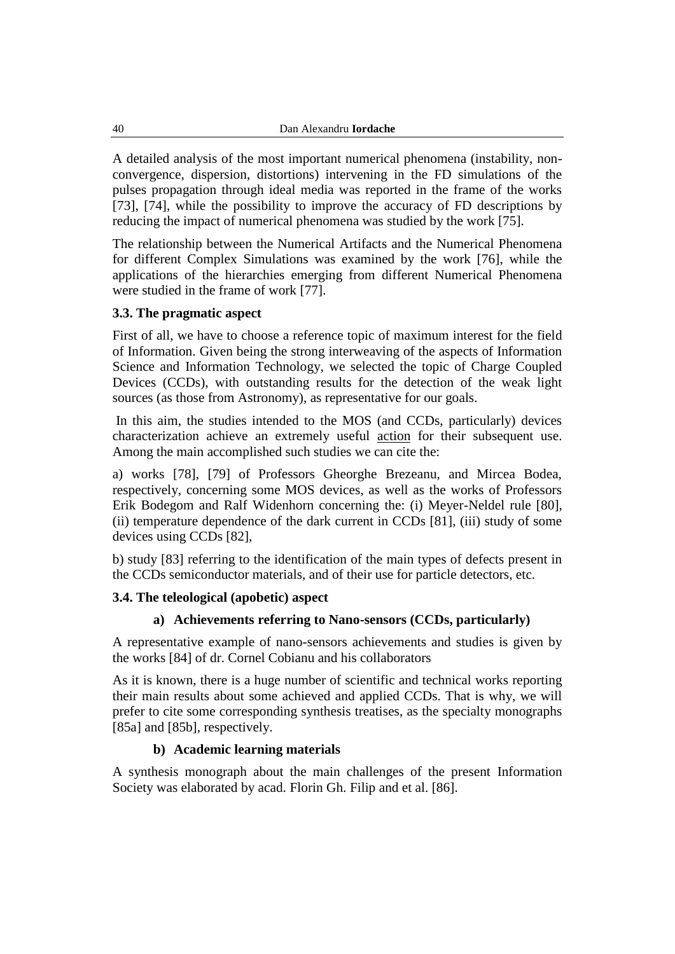A detailed analysis of the most important numerical phenomena (instability, nonconvergence, dispersion, distortions) intervening in the FD simulations of the pulses propagation through ideal media was reported in the frame of the works [73], [74], while the possibility to improve the accuracy of FD descriptions by reducing the impact of numerical phenomena was studied by the work [75].

The relationship between the Numerical Artifacts and the Numerical Phenomena for different Complex Simulations was examined by the work [76], while the applications of the hierarchies emerging from different Numerical Phenomena were studied in the frame of work [77].

## **3.3. The pragmatic aspect**

First of all, we have to choose a reference topic of maximum interest for the field of Information. Given being the strong interweaving of the aspects of Information Science and Information Technology, we selected the topic of Charge Coupled Devices (CCDs), with outstanding results for the detection of the weak light sources (as those from Astronomy), as representative for our goals.

In this aim, the studies intended to the MOS (and CCDs, particularly) devices characterization achieve an extremely useful action for their subsequent use. Among the main accomplished such studies we can cite the:

a) works [78], [79] of Professors Gheorghe Brezeanu, and Mircea Bodea, respectively, concerning some MOS devices, as well as the works of Professors Erik Bodegom and Ralf Widenhorn concerning the: (i) Meyer-Neldel rule [80], (ii) temperature dependence of the dark current in CCDs [81], (iii) study of some devices using CCDs [82],

b) study [83] referring to the identification of the main types of defects present in the CCDs semiconductor materials, and of their use for particle detectors, etc.

## **3.4. The teleological (apobetic) aspect**

## **a) Achievements referring to Nano-sensors (CCDs, particularly)**

A representative example of nano-sensors achievements and studies is given by the works [84] of dr. Cornel Cobianu and his collaborators

As it is known, there is a huge number of scientific and technical works reporting their main results about some achieved and applied CCDs. That is why, we will prefer to cite some corresponding synthesis treatises, as the specialty monographs [85a] and [85b], respectively.

## **b) Academic learning materials**

A synthesis monograph about the main challenges of the present Information Society was elaborated by acad. Florin Gh. Filip and et al. [86].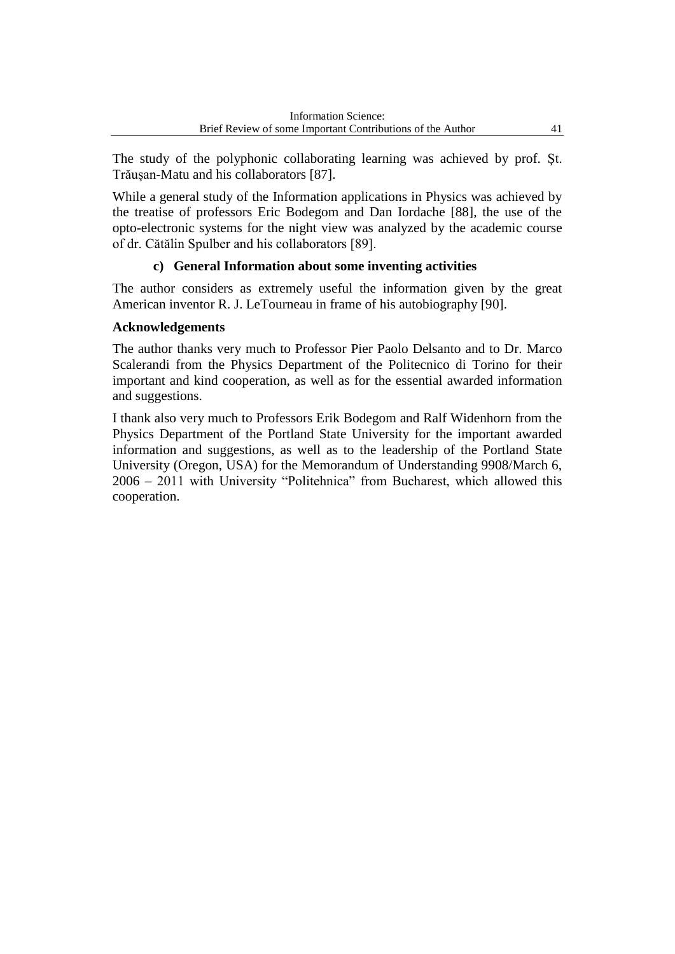The study of the polyphonic collaborating learning was achieved by prof. Şt. Trăuşan-Matu and his collaborators [87].

While a general study of the Information applications in Physics was achieved by the treatise of professors Eric Bodegom and Dan Iordache [88], the use of the opto-electronic systems for the night view was analyzed by the academic course of dr. Cătălin Spulber and his collaborators [89].

## **c) General Information about some inventing activities**

The author considers as extremely useful the information given by the great American inventor R. J. LeTourneau in frame of his autobiography [90].

## **Acknowledgements**

The author thanks very much to Professor Pier Paolo Delsanto and to Dr. Marco Scalerandi from the Physics Department of the Politecnico di Torino for their important and kind cooperation, as well as for the essential awarded information and suggestions.

I thank also very much to Professors Erik Bodegom and Ralf Widenhorn from the Physics Department of the Portland State University for the important awarded information and suggestions, as well as to the leadership of the Portland State University (Oregon, USA) for the Memorandum of Understanding 9908/March 6, 2006 – 2011 with University "Politehnica" from Bucharest, which allowed this cooperation.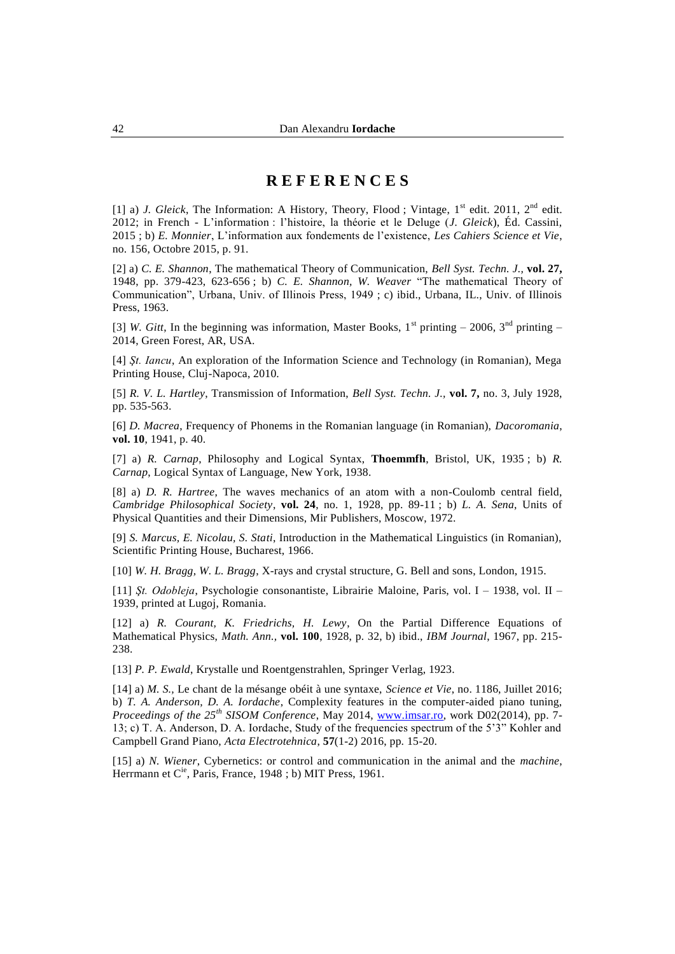## **R E F E R E N C E S**

[1] a) *J. Gleick*, The Information: A History, Theory, Flood ; Vintage,  $1<sup>st</sup>$  edit. 2011,  $2<sup>nd</sup>$  edit. 2012; in French - L"information : l"histoire, la théorie et le Deluge (*J. Gleick*), Éd. Cassini, 2015 ; b) *E. Monnier*, L"information aux fondements de l"existence, *Les Cahiers Science et Vie*, no. 156, Octobre 2015, p. 91.

[2] a) *C. E. Shannon*, The mathematical Theory of Communication, *Bell Syst. Techn. J.,* **vol. 27,** 1948, pp. 379-423, 623-656 ; b) *C. E. Shannon, W. Weaver* "The mathematical Theory of Communication", Urbana, Univ. of Illinois Press, 1949 ; c) ibid., Urbana, IL., Univ. of Illinois Press, 1963.

[3] *W. Gitt*, In the beginning was information, Master Books,  $1^{st}$  printing – 2006,  $3^{nd}$  printing – 2014, Green Forest, AR, USA.

[4] *Şt. Iancu*, An exploration of the Information Science and Technology (in Romanian), Mega Printing House, Cluj-Napoca, 2010.

[5] *R. V. L. Hartley*, Transmission of Information, *Bell Syst. Techn. J.,* **vol. 7,** no. 3, July 1928, pp. 535-563.

[6] *D. Macrea*, Frequency of Phonems in the Romanian language (in Romanian), *Dacoromania*, **vol. 10**, 1941, p. 40.

[7] a) *R. Carnap*, Philosophy and Logical Syntax, **Thoemmfh**, Bristol, UK, 1935 ; b) *R. Carnap*, Logical Syntax of Language, New York, 1938.

[8] a) *D. R. Hartree*, The waves mechanics of an atom with a non-Coulomb central field, *Cambridge Philosophical Society*, **vol. 24**, no. 1, 1928, pp. 89-11 ; b) *L. A. Sena*, Units of Physical Quantities and their Dimensions, Mir Publishers, Moscow, 1972.

[9] *S. Marcus, E. Nicolau, S. Stati*, Introduction in the Mathematical Linguistics (in Romanian), Scientific Printing House, Bucharest, 1966.

[10] *W. H. Bragg, W. L. Bragg*, X-rays and crystal structure, G. Bell and sons, London, 1915.

[11] *Şt. Odobleja*, Psychologie consonantiste, Librairie Maloine, Paris, vol. I – 1938, vol. II – 1939, printed at Lugoj, Romania.

[12] a) *R. Courant, K. Friedrichs, H. Lewy*, On the Partial Difference Equations of Mathematical Physics, *Math. Ann.,* **vol. 100**, 1928, p. 32, b) ibid., *IBM Journal*, 1967, pp. 215- 238.

[13] *P. P. Ewald*, Krystalle und Roentgenstrahlen, Springer Verlag, 1923.

[14] a) *M. S.,* Le chant de la mésange obéit à une syntaxe, *Science et Vie*, no. 1186, Juillet 2016; b) *T. A. Anderson, D. A. Iordache*, Complexity features in the computer-aided piano tuning, *Proceedings of the 25th SISOM Conference*, May 2014, [www.imsar.ro,](http://www.imsar.ro/) work D02(2014), pp. 7- 13; c) T. A. Anderson, D. A. Iordache, Study of the frequencies spectrum of the 5"3" Kohler and Campbell Grand Piano, *Acta Electrotehnica*, **57**(1-2) 2016, pp. 15-20.

[15] a) *N. Wiener*, Cybernetics: or control and communication in the animal and the *machine*, Herrmann et C<sup>ie</sup>, Paris, France, 1948 ; b) MIT Press, 1961.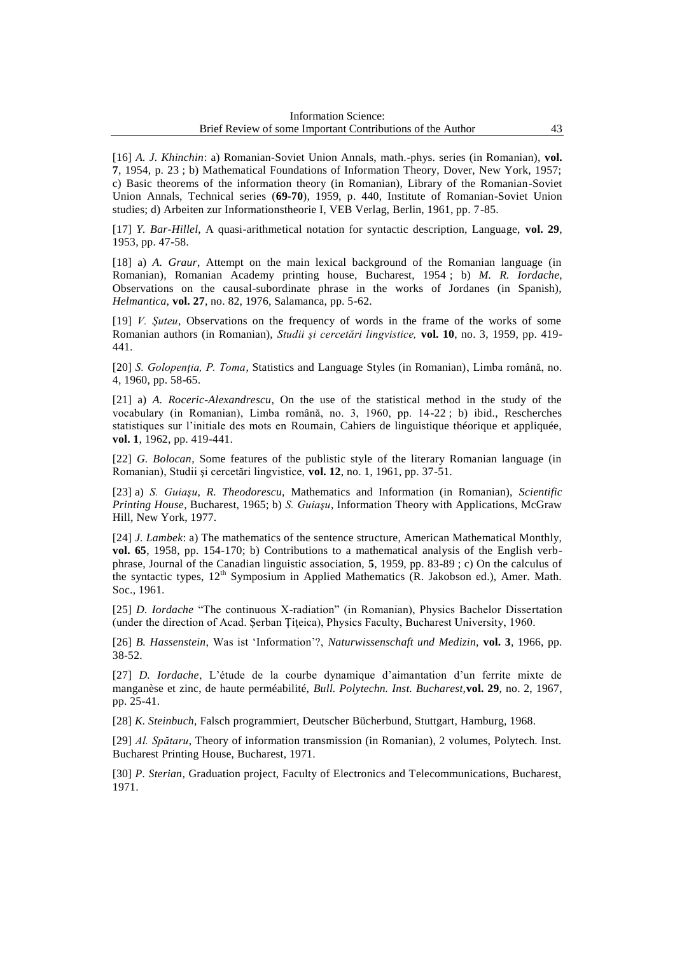[16] *A. J. Khinchin*: a) Romanian-Soviet Union Annals, math.-phys. series (in Romanian), **vol. 7**, 1954, p. 23 ; b) Mathematical Foundations of Information Theory, Dover, New York, 1957; c) Basic theorems of the information theory (in Romanian), Library of the Romanian-Soviet Union Annals, Technical series (**69-70**), 1959, p. 440, Institute of Romanian-Soviet Union studies; d) Arbeiten zur Informationstheorie I, VEB Verlag, Berlin, 1961, pp. 7-85.

[17] *Y. Bar-Hillel*, A quasi-arithmetical notation for syntactic description, Language, **vol. 29**, 1953, pp. 47-58.

[18] a) *A. Graur*, Attempt on the main lexical background of the Romanian language (in Romanian), Romanian Academy printing house, Bucharest, 1954 ; b) *M. R. Iordache*, Observations on the causal-subordinate phrase in the works of Jordanes (in Spanish), *Helmantica,* **vol. 27**, no. 82, 1976, Salamanca, pp. 5-62.

[19] *V. Şuteu*, Observations on the frequency of words in the frame of the works of some Romanian authors (in Romanian), *Studii şi cercetări lingvistice,* **vol. 10**, no. 3, 1959, pp. 419- 441.

[20] *S. Golopenţia, P. Toma*, Statistics and Language Styles (in Romanian), Limba română, no. 4, 1960, pp. 58-65.

[21] a) *A. Roceric-Alexandrescu*, On the use of the statistical method in the study of the vocabulary (in Romanian), Limba română, no. 3, 1960, pp. 14-22 ; b) ibid., Rescherches statistiques sur l"initiale des mots en Roumain, Cahiers de linguistique théorique et appliquée, **vol. 1**, 1962, pp. 419-441.

[22] *G. Bolocan*, Some features of the publistic style of the literary Romanian language (in Romanian), Studii şi cercetări lingvistice, **vol. 12**, no. 1, 1961, pp. 37-51.

[23] a) *S. Guiaşu*, *R. Theodorescu,* Mathematics and Information (in Romanian), *Scientific Printing House*, Bucharest, 1965; b) *S. Guiaşu*, Information Theory with Applications, McGraw Hill, New York, 1977.

[24] *J. Lambek*: a) The mathematics of the sentence structure, American Mathematical Monthly, **vol. 65**, 1958, pp. 154-170; b) Contributions to a mathematical analysis of the English verbphrase, Journal of the Canadian linguistic association, **5**, 1959, pp. 83-89 ; c) On the calculus of the syntactic types, 12<sup>th</sup> Symposium in Applied Mathematics (R. Jakobson ed.), Amer. Math. Soc., 1961.

[25] *D. Iordache* "The continuous X-radiation" (in Romanian), Physics Bachelor Dissertation (under the direction of Acad. Şerban Ţiţeica), Physics Faculty, Bucharest University, 1960.

[26] *B. Hassenstein*, Was ist "Information"?, *Naturwissenschaft und Medizin,* **vol. 3**, 1966, pp. 38-52.

[27] *D. Iordache*, L"étude de la courbe dynamique d"aimantation d"un ferrite mixte de manganèse et zinc, de haute perméabilité, *Bull. Polytechn. Inst. Bucharest,***vol. 29**, no. 2, 1967, pp. 25-41.

[28] *K. Steinbuch*, Falsch programmiert, Deutscher Bücherbund, Stuttgart, Hamburg, 1968.

[29] *Al. Spătaru*, Theory of information transmission (in Romanian), 2 volumes, Polytech. Inst. Bucharest Printing House, Bucharest, 1971.

[30] *P. Sterian*, Graduation project, Faculty of Electronics and Telecommunications, Bucharest, 1971.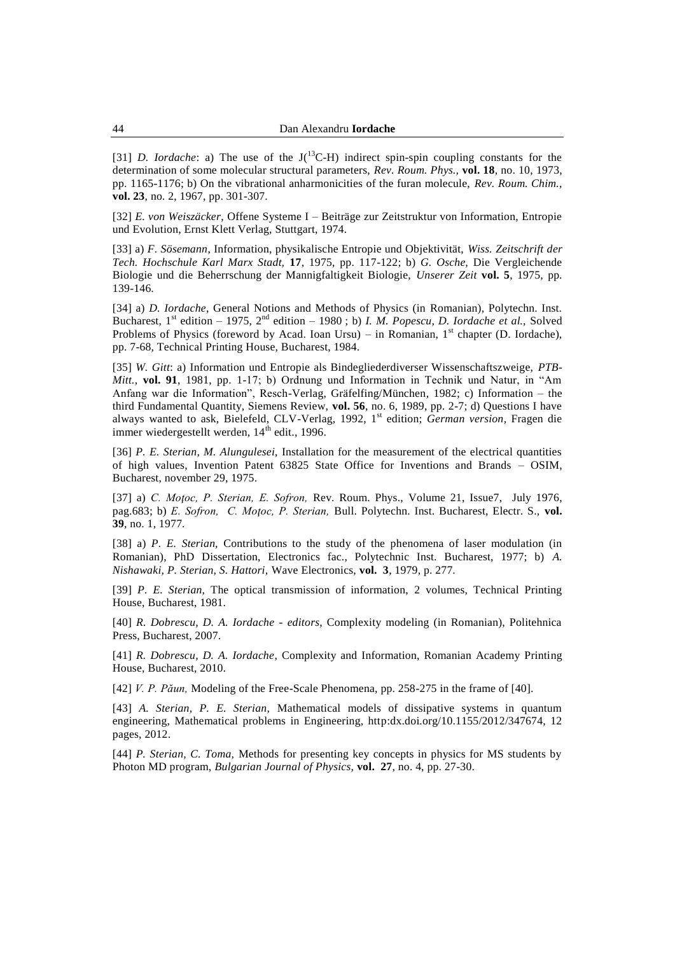[31] *D. Iordache*: a) The use of the J(<sup>13</sup>C-H) indirect spin-spin coupling constants for the determination of some molecular structural parameters, *Rev. Roum. Phys.,* **vol. 18**, no. 10, 1973, pp. 1165-1176; b) On the vibrational anharmonicities of the furan molecule, *Rev. Roum. Chim.,*  **vol. 23**, no. 2, 1967, pp. 301-307.

[32] *E. von Weiszäcker*, Offene Systeme I – Beiträge zur Zeitstruktur von Information, Entropie und Evolution, Ernst Klett Verlag, Stuttgart, 1974.

[33] a) *F. Sösemann*, Information, physikalische Entropie und Objektivität, *Wiss. Zeitschrift der Tech. Hochschule Karl Marx Stadt,* **17**, 1975, pp. 117-122; b) *G. Osche,* Die Vergleichende Biologie und die Beherrschung der Mannigfaltigkeit Biologie, *Unserer Zeit* **vol. 5**, 1975, pp. 139-146.

[34] a) *D. Iordache*, General Notions and Methods of Physics (in Romanian), Polytechn. Inst. Bucharest, 1st edition – 1975, 2nd edition – 1980 ; b) *I. M. Popescu, D. Iordache et al.,* Solved Problems of Physics (foreword by Acad. Ioan Ursu) – in Romanian,  $1<sup>st</sup>$  chapter (D. Iordache), pp. 7-68, Technical Printing House, Bucharest, 1984.

[35] *W. Gitt*: a) Information und Entropie als Bindegliederdiverser Wissenschaftszweige, *PTB-Mitt.*, **vol. 91**, 1981, pp. 1-17; b) Ordnung und Information in Technik und Natur, in "Am Anfang war die Information", Resch-Verlag, Gräfelfing/München, 1982; c) Information – the third Fundamental Quantity, Siemens Review, **vol. 56**, no. 6, 1989, pp. 2-7; d) Questions I have always wanted to ask, Bielefeld, CLV-Verlag, 1992, 1st edition; *German version*, Fragen die immer wiedergestellt werden, 14<sup>th</sup> edit., 1996.

[36] *P. E. Sterian, M. Alungulesei,* Installation for the measurement of the electrical quantities of high values, Invention Patent 63825 State Office for Inventions and Brands – OSIM, Bucharest, november 29, 1975*.*

[37] a) *C. Moţoc, P. Sterian, E. Sofron,* Rev. Roum. Phys., Volume 21, Issue7, July 1976, pag.683; b) *E. Sofron, C. Moţoc, P. Sterian,* Bull. Polytechn. Inst. Bucharest, Electr. S., **vol. 39**, no. 1, 1977.

[38] a) *P. E. Sterian,* Contributions to the study of the phenomena of laser modulation (in Romanian), PhD Dissertation, Electronics fac., Polytechnic Inst. Bucharest, 1977; b) *A. Nishawaki, P. Sterian, S. Hattori,* Wave Electronics, **vol. 3**, 1979, p. 277.

[39] *P. E. Sterian,* The optical transmission of information, 2 volumes, Technical Printing House, Bucharest, 1981.

[40] *R. Dobrescu, D. A. Iordache - editors*, Complexity modeling (in Romanian), Politehnica Press, Bucharest, 2007.

[41] *R. Dobrescu, D. A. Iordache*, Complexity and Information, Romanian Academy Printing House, Bucharest, 2010.

[42] *V. P. Păun,* Modeling of the Free-Scale Phenomena, pp. 258-275 in the frame of [40].

[43] *A. Sterian, P. E. Sterian,* Mathematical models of dissipative systems in quantum engineering, Mathematical problems in Engineering, http:dx.doi.org/10.1155/2012/347674, 12 pages, 2012.

[44] *P. Sterian, C. Toma,* Methods for presenting key concepts in physics for MS students by Photon MD program, *Bulgarian Journal of Physics,* **vol. 27**, no. 4, pp. 27-30.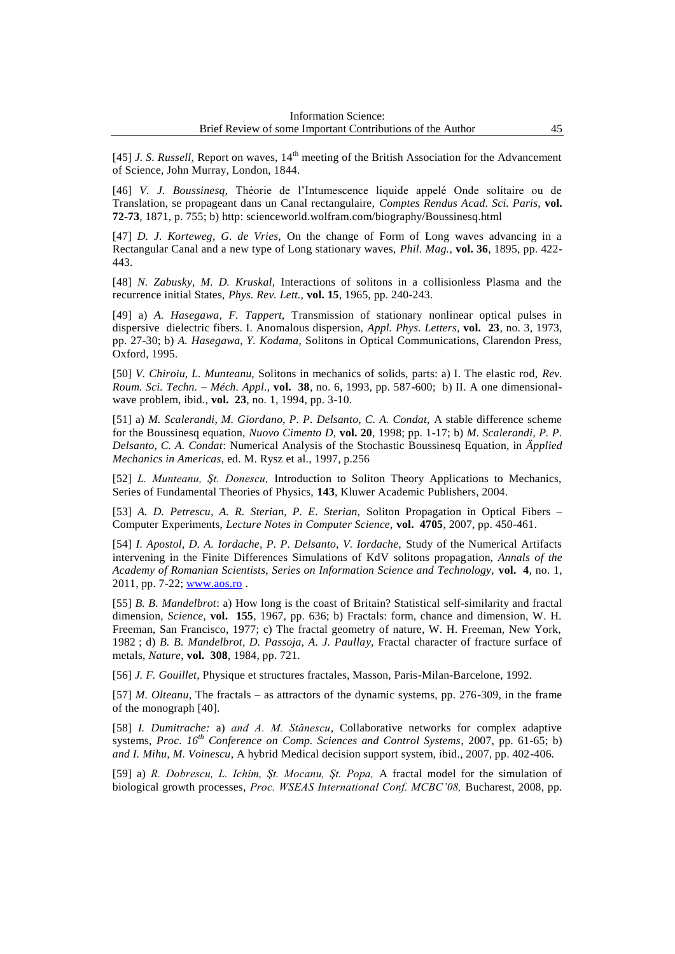[45] *J. S. Russell*, Report on waves, 14<sup>th</sup> meeting of the British Association for the Advancement of Science, John Murray, London, 1844.

[46] *V. J. Boussinesq,* Théorie de l"Intumescence liquide appelé Onde solitaire ou de Translation, se propageant dans un Canal rectangulaire, *Comptes Rendus Acad. Sci. Paris,* **vol. 72-73**, 1871, p. 755; b) http: scienceworld.wolfram.com/biography/Boussinesq.html

[47] *D. J. Korteweg, G. de Vries,* On the change of Form of Long waves advancing in a Rectangular Canal and a new type of Long stationary waves, *Phil. Mag.,* **vol. 36**, 1895, pp. 422- 443.

[48] *N. Zabusky, M. D. Kruskal,* Interactions of solitons in a collisionless Plasma and the recurrence initial States, *Phys. Rev. Lett.,* **vol. 15**, 1965, pp. 240-243.

[49] a) *A. Hasegawa, F. Tappert,* Transmission of stationary nonlinear optical pulses in dispersive dielectric fibers. I. Anomalous dispersion, *Appl. Phys. Letters,* **vol. 23**, no. 3, 1973, pp. 27-30; b) *A. Hasegawa, Y. Kodama,* Solitons in Optical Communications, Clarendon Press, Oxford, 1995.

[50] *V. Chiroiu, L. Munteanu,* Solitons in mechanics of solids, parts: a) I. The elastic rod, *Rev. Roum. Sci. Techn. – Méch. Appl.,* **vol. 38**, no. 6, 1993, pp. 587-600; b) II. A one dimensionalwave problem, ibid., **vol. 23**, no. 1, 1994, pp. 3-10.

[51] a) *M. Scalerandi, M. Giordano, P. P. Delsanto, C. A. Condat,* A stable difference scheme for the Boussinesq equation, *Nuovo Cimento D,* **vol. 20**, 1998; pp. 1-17; b) *M. Scalerandi, P. P. Delsanto, C. A. Condat*: Numerical Analysis of the Stochastic Boussinesq Equation, in *Äpplied Mechanics in Americas*, ed. M. Rysz et al., 1997, p.256

[52] *L. Munteanu, Şt. Donescu,* Introduction to Soliton Theory Applications to Mechanics, Series of Fundamental Theories of Physics, **143**, Kluwer Academic Publishers, 2004.

[53] *A. D. Petrescu, A. R. Sterian, P. E. Sterian,* Soliton Propagation in Optical Fibers – Computer Experiments, *Lecture Notes in Computer Science,* **vol. 4705**, 2007, pp. 450-461.

[54] *I. Apostol, D. A. Iordache, P. P. Delsanto, V. Iordache,* Study of the Numerical Artifacts intervening in the Finite Differences Simulations of KdV solitons propagation, *Annals of the Academy of Romanian Scientists, Series on Information Science and Technology,* **vol. 4**, no. 1, 2011, pp. 7-22; [www.aos.ro](http://www.aos.ro/) .

[55] *B. B. Mandelbrot*: a) How long is the coast of Britain? Statistical self-similarity and fractal dimension, *Science,* **vol. 155**, 1967, pp. 636; b) Fractals: form, chance and dimension, W. H. Freeman, San Francisco, 1977; c) The fractal geometry of nature, W. H. Freeman, New York, 1982 ; d) *B. B. Mandelbrot, D. Passoja, A. J. Paullay,* Fractal character of fracture surface of metals, *Nature*, **vol. 308**, 1984, pp. 721.

[56] *J. F. Gouillet,* Physique et structures fractales, Masson, Paris-Milan-Barcelone, 1992.

[57] *M. Olteanu,* The fractals – as attractors of the dynamic systems, pp. 276-309, in the frame of the monograph [40].

[58] *I. Dumitrache:* a) *and A. M. Stănescu*, Collaborative networks for complex adaptive systems, *Proc. 16th Conference on Comp. Sciences and Control Systems*, 2007, pp. 61-65; b) *and I. Mihu, M. Voinescu*, A hybrid Medical decision support system, ibid., 2007, pp. 402-406.

[59] a) *R. Dobrescu, L. Ichim, Şt. Mocanu, Şt. Popa,* A fractal model for the simulation of biological growth processes, *Proc. WSEAS International Conf. MCBC'08,* Bucharest, 2008, pp.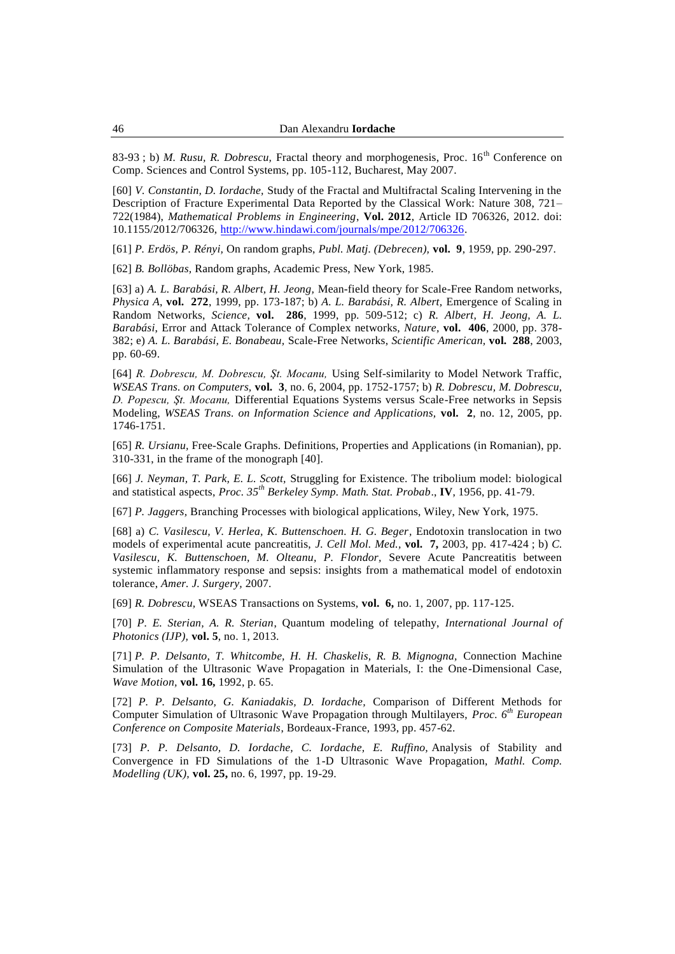83-93; b) *M. Rusu, R. Dobrescu, Fractal theory and morphogenesis, Proc.* 16<sup>th</sup> Conference on Comp. Sciences and Control Systems, pp. 105-112, Bucharest, May 2007.

[60] *V. Constantin, D. Iordache,* Study of the Fractal and Multifractal Scaling Intervening in the Description of Fracture Experimental Data Reported by the Classical Work: Nature 308, 721– 722(1984), *Mathematical Problems in Engineering*, **Vol. 2012**, Article ID 706326, 2012. doi: 10.1155/2012/706326, [http://www.hindawi.com/journals/mpe/2012/706326.](http://www.hindawi.com/journals/mpe/2012/706326)

[61] *P. Erdös, P. Rényi,* On random graphs, *Publ. Matj. (Debrecen),* **vol. 9**, 1959, pp. 290-297.

[62] *B. Bollöbas,* Random graphs, Academic Press, New York, 1985.

[63] a) *A. L. Barabási, R. Albert, H. Jeong,* Mean-field theory for Scale-Free Random networks, *Physica A*, **vol. 272**, 1999, pp. 173-187; b) *A. L. Barabási, R. Albert,* Emergence of Scaling in Random Networks, *Science,* **vol. 286**, 1999, pp. 509-512; c) *R. Albert, H. Jeong, A. L. Barabási*, Error and Attack Tolerance of Complex networks, *Nature,* **vol. 406**, 2000, pp. 378- 382; e) *A. L. Barabási, E. Bonabeau,* Scale-Free Networks, *Scientific American,* **vol. 288**, 2003, pp. 60-69.

[64] *R. Dobrescu, M. Dobrescu, Şt. Mocanu,* Using Self-similarity to Model Network Traffic, *WSEAS Trans. on Computers,* **vol. 3**, no. 6, 2004, pp. 1752-1757; b) *R. Dobrescu, M. Dobrescu, D. Popescu, Şt. Mocanu,* Differential Equations Systems versus Scale-Free networks in Sepsis Modeling, *WSEAS Trans. on Information Science and Applications,* **vol. 2**, no. 12, 2005, pp. 1746-1751.

[65] *R. Ursianu,* Free-Scale Graphs. Definitions, Properties and Applications (in Romanian), pp. 310-331, in the frame of the monograph [40].

[66] *J. Neyman, T. Park, E. L. Scott,* Struggling for Existence. The tribolium model: biological and statistical aspects, *Proc. 35th Berkeley Symp. Math. Stat. Probab*., **IV**, 1956, pp. 41-79.

[67] *P. Jaggers,* Branching Processes with biological applications, Wiley, New York, 1975.

[68] a) *C. Vasilescu, V. Herlea, K. Buttenschoen. H. G. Beger,* Endotoxin translocation in two models of experimental acute pancreatitis, *J. Cell Mol. Med.,* **vol. 7,** 2003, pp. 417-424 ; b) *C. Vasilescu, K. Buttenschoen, M. Olteanu, P. Flondor,* Severe Acute Pancreatitis between systemic inflammatory response and sepsis: insights from a mathematical model of endotoxin tolerance, *Amer. J. Surgery,* 2007.

[69] *R. Dobrescu,* WSEAS Transactions on Systems, **vol. 6,** no. 1, 2007, pp. 117-125.

[70] *P. E. Sterian, A. R. Sterian*, Quantum modeling of telepathy, *International Journal of Photonics (IJP),* **vol. 5**, no. 1, 2013.

[71] *P. P. Delsanto, T. Whitcombe, H. H. Chaskelis, R. B. Mignogna,* Connection Machine Simulation of the Ultrasonic Wave Propagation in Materials, I: the One-Dimensional Case, *Wave Motion,* **vol. 16,** 1992, p. 65.

[72] *P. P. Delsanto, G. Kaniadakis, D. Iordache,* Comparison of Different Methods for Computer Simulation of Ultrasonic Wave Propagation through Multilayers, *Proc. 6th European Conference on Composite Materials*, Bordeaux-France, 1993, pp. 457-62.

[73] *P. P. Delsanto, D. Iordache, C. Iordache, E. Ruffino,* Analysis of Stability and Convergence in FD Simulations of the 1-D Ultrasonic Wave Propagation, *Mathl. Comp. Modelling (UK),* **vol. 25,** no. 6, 1997, pp. 19-29.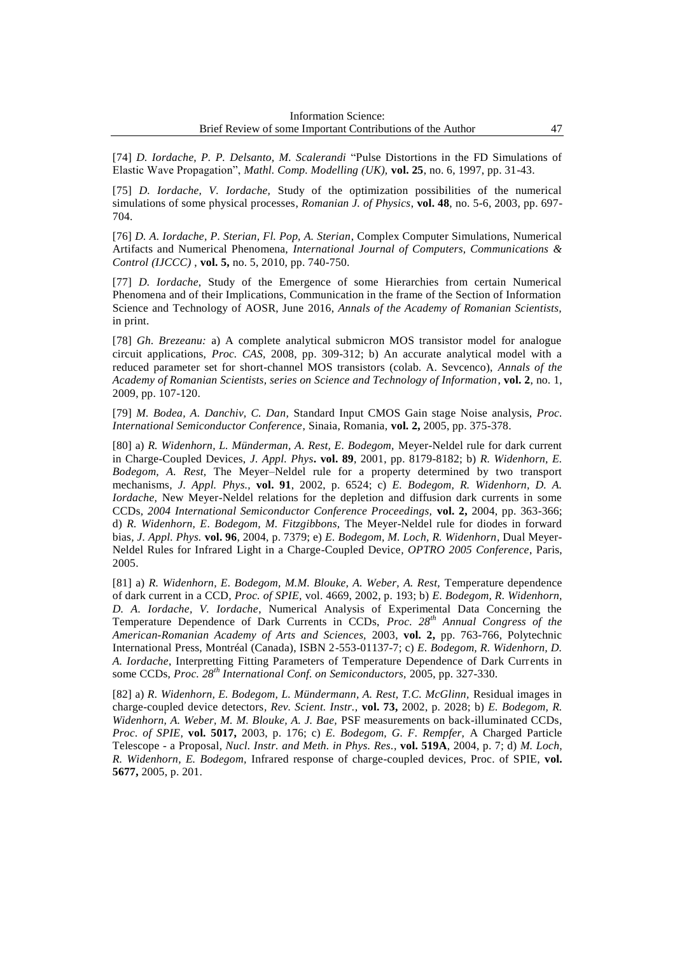[74] *D. Iordache, P. P. Delsanto, M. Scalerandi* "Pulse Distortions in the FD Simulations of Elastic Wave Propagation", *Mathl. Comp. Modelling (UK),* **vol. 25**, no. 6, 1997, pp. 31-43.

[75] *D. Iordache, V. Iordache,* Study of the optimization possibilities of the numerical simulations of some physical processes, *Romanian J. of Physics*, **vol. 48**, no. 5-6, 2003, pp. 697- 704.

[76] *D. A. Iordache, P. Sterian, Fl. Pop, A. Sterian*, Complex Computer Simulations, Numerical Artifacts and Numerical Phenomena, *International Journal of Computers, Communications & Control (IJCCC)* , **vol. 5,** no. 5, 2010, pp. 740-750.

[77] *D. Iordache*, Study of the Emergence of some Hierarchies from certain Numerical Phenomena and of their Implications, Communication in the frame of the Section of Information Science and Technology of AOSR, June 2016, *Annals of the Academy of Romanian Scientists,*  in print.

[78] *Gh. Brezeanu:* a) A complete analytical submicron MOS transistor model for analogue circuit applications, *Proc. CAS,* 2008, pp. 309-312; b) An accurate analytical model with a reduced parameter set for short-channel MOS transistors (colab. A. Sevcenco), *Annals of the Academy of Romanian Scientists, series on Science and Technology of Information*, **vol. 2**, no. 1, 2009, pp. 107-120.

[79] *M. Bodea, A. Danchiv, C. Dan,* Standard Input CMOS Gain stage Noise analysis, *Proc. International Semiconductor Conference*, Sinaia, Romania, **vol. 2,** 2005, pp. 375-378.

[80] a) *R. Widenhorn, L. Münderman, A. Rest, E. Bodegom,* Meyer-Neldel rule for dark current in Charge-Coupled Devices, *J. Appl. Phys***. vol. 89**, 2001, pp. 8179-8182; b) *R. Widenhorn, E. Bodegom, A. Rest,* The Meyer–Neldel rule for a property determined by two transport mechanisms*, J. Appl. Phys.,* **vol. 91**, 2002, p. 6524; c) *E. Bodegom, R. Widenhorn, D. A. Iordache,* New Meyer-Neldel relations for the depletion and diffusion dark currents in some CCDs*, 2004 International Semiconductor Conference Proceedings,* **vol. 2,** 2004, pp. 363-366; d) *R. Widenhorn, E*. *Bodegom, M. Fitzgibbons,* The Meyer-Neldel rule for diodes in forward bias*, J. Appl. Phys.* **vol. 96**, 2004, p. 7379; e) *E. Bodegom, M. Loch, R. Widenhorn*, Dual Meyer-Neldel Rules for Infrared Light in a Charge-Coupled Device*, OPTRO 2005 Conference*, Paris, 2005.

[81] a) *R. Widenhorn, E. Bodegom, M.M. Blouke, A. Weber, A. Rest, Temperature dependence* of dark current in a CCD*, Proc. of SPIE,* vol. 4669, 2002, p. 193; b) *E. Bodegom, R. Widenhorn, D. A. Iordache, V. Iordache*, Numerical Analysis of Experimental Data Concerning the Temperature Dependence of Dark Currents in CCDs, *Proc. 28th Annual Congress of the American-Romanian Academy of Arts and Sciences,* 2003, **vol. 2,** pp. 763-766, Polytechnic International Press, Montréal (Canada), ISBN 2-553-01137-7; c) *E. Bodegom, R. Widenhorn, D. A. Iordache*, Interpretting Fitting Parameters of Temperature Dependence of Dark Currents in some CCDs, *Proc. 28th International Conf. on Semiconductors,* 2005, pp. 327-330.

[82] a) *R. Widenhorn, E. Bodegom, L. Mündermann, A. Rest, T.C. McGlinn,* Residual images in charge-coupled device detectors*, Rev. Scient. Instr.,* **vol. 73,** 2002, p. 2028; b) *E. Bodegom, R. Widenhorn, A. Weber, M. M. Blouke, A. J. Bae,* PSF measurements on back-illuminated CCDs*, Proc. of SPIE,* **vol. 5017,** 2003, p. 176; c) *E. Bodegom, G. F. Rempfer,* A Charged Particle Telescope - a Proposal*, Nucl. Instr. and Meth. in Phys. Res.,* **vol. 519A**, 2004, p. 7; d) *M. Loch, R. Widenhorn, E. Bodegom,* Infrared response of charge-coupled devices*,* Proc. of SPIE, **vol. 5677,** 2005, p. 201.